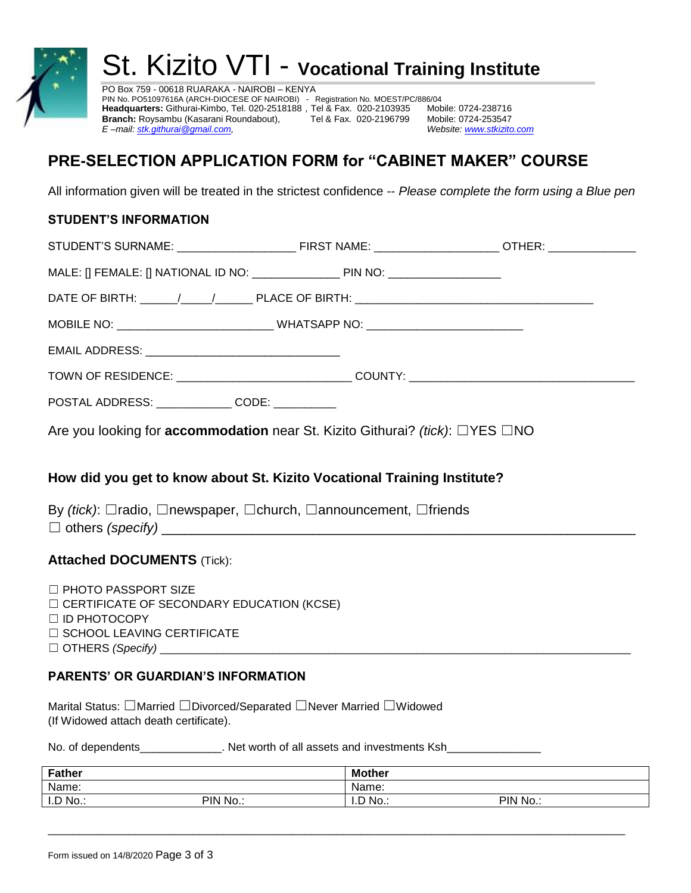

# St. Kizito VTI - **Vocational Training Institute**

PO Box 759 - 00618 RUARAKA - NAIROBI – KENYA PIN No. PO51097616A (ARCH-DIOCESE OF NAIROBI) *-* Registration No. MOEST/PC/886/04 **Headquarters:** Githurai-Kimbo, Tel. 020-2518188 , Tel & Fax. 020-2103935 Mobile: 0724-238716 **Branch:** Roysambu (Kasarani Roundabout), Tel & Fax. 020-2196799 Mobile: 0724-253547<br>E-mail: <u>stk.githurai@gmail.com,</u> Website: www.stkizito.com *E* –mail[: stk.githurai@gmail.com,](mailto:stk.githurai@gmail.com)

## **PRE-SELECTION APPLICATION FORM for "CABINET MAKER" COURSE**

All information given will be treated in the strictest confidence -- *Please complete the form using a Blue pen*

#### **STUDENT'S INFORMATION**

| POSTAL ADDRESS: _______________ CODE: __________                                                        |  |  |  |
|---------------------------------------------------------------------------------------------------------|--|--|--|
| Are you looking for <b>accommodation</b> near St. Kizito Githurai? <i>(tick)</i> : $\Box$ YES $\Box$ NO |  |  |  |
| How did you get to know about St. Kizito Vocational Training Institute?                                 |  |  |  |
| By (tick): $\Box$ radio, $\Box$ newspaper, $\Box$ church, $\Box$ announcement, $\Box$ friends           |  |  |  |
| <b>Attached DOCUMENTS (Tick):</b>                                                                       |  |  |  |
| $\Box$ PHOTO PASSPORT SIZE<br>$\Box$ CERTIFICATE OF SECONDARY EDUCATION (KCSE)<br>$\Box$ ID PHOTOCOPY   |  |  |  |

☐ SCHOOL LEAVING CERTIFICATE

☐ OTHERS *(Specify)* \_\_\_\_\_\_\_\_\_\_\_\_\_\_\_\_\_\_\_\_\_\_\_\_\_\_\_\_\_\_\_\_\_\_\_\_\_\_\_\_\_\_\_\_\_\_\_\_\_\_\_\_\_\_\_\_\_\_\_\_\_\_\_\_\_\_\_\_\_\_\_\_\_\_\_

#### **PARENTS' OR GUARDIAN'S INFORMATION**

Marital Status: □Married □Divorced/Separated □Never Married □Widowed (If Widowed attach death certificate).

No. of dependents\_\_\_\_\_\_\_\_\_\_\_\_\_\_. Net worth of all assets and investments Ksh\_

| Father  |          | <b>Mother</b>  |        |
|---------|----------|----------------|--------|
| Name:   |          | Name:          |        |
| I.D No. | PIN No.: | D No.:<br>ـ ب. | PIN No |

 $\_$  ,  $\_$  ,  $\_$  ,  $\_$  ,  $\_$  ,  $\_$  ,  $\_$  ,  $\_$  ,  $\_$  ,  $\_$  ,  $\_$  ,  $\_$  ,  $\_$  ,  $\_$  ,  $\_$  ,  $\_$  ,  $\_$  ,  $\_$  ,  $\_$  ,  $\_$  ,  $\_$  ,  $\_$  ,  $\_$  ,  $\_$  ,  $\_$  ,  $\_$  ,  $\_$  ,  $\_$  ,  $\_$  ,  $\_$  ,  $\_$  ,  $\_$  ,  $\_$  ,  $\_$  ,  $\_$  ,  $\_$  ,  $\_$  ,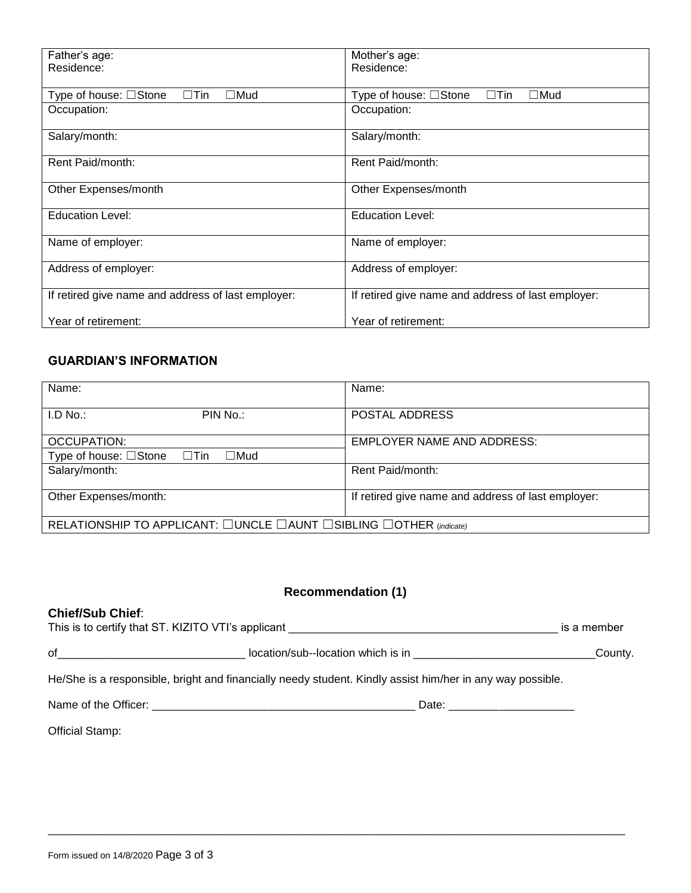| Father's age:<br>Residence:                          | Mother's age:<br>Residence:                          |
|------------------------------------------------------|------------------------------------------------------|
| $\Box$ Tin<br>Type of house: □Stone<br>$\square$ Mud | $\Box$ Tin<br>Type of house: □Stone<br>$\square$ Mud |
| Occupation:                                          | Occupation:                                          |
| Salary/month:                                        | Salary/month:                                        |
| Rent Paid/month:                                     | Rent Paid/month:                                     |
| Other Expenses/month                                 | Other Expenses/month                                 |
| <b>Education Level:</b>                              | <b>Education Level:</b>                              |
| Name of employer:                                    | Name of employer:                                    |
| Address of employer:                                 | Address of employer:                                 |
| If retired give name and address of last employer:   | If retired give name and address of last employer:   |
| Year of retirement:                                  | Year of retirement:                                  |

#### **GUARDIAN'S INFORMATION**

| Name:                                                              | Name:                                              |  |
|--------------------------------------------------------------------|----------------------------------------------------|--|
| LD No.<br>PIN No.:                                                 | POSTAL ADDRESS                                     |  |
| OCCUPATION:                                                        | <b>EMPLOYER NAME AND ADDRESS:</b>                  |  |
| Type of house: $\Box$ Stone $\Box$ Tin<br>$\square$ Mud            |                                                    |  |
| Salary/month:                                                      | Rent Paid/month:                                   |  |
| Other Expenses/month:                                              | If retired give name and address of last employer: |  |
| RELATIONSHIP TO APPLICANT: □UNCLE □AUNT □SIBLING □OTHER (indicate) |                                                    |  |

## **Recommendation (1)**

| <b>Chief/Sub Chief:</b> | This is to certify that ST. KIZITO VTI's applicant ______________________________                         | is a member |
|-------------------------|-----------------------------------------------------------------------------------------------------------|-------------|
|                         |                                                                                                           | County.     |
|                         | He/She is a responsible, bright and financially needy student. Kindly assist him/her in any way possible. |             |
|                         |                                                                                                           |             |
| Official Stamp:         |                                                                                                           |             |

 $\_$  ,  $\_$  ,  $\_$  ,  $\_$  ,  $\_$  ,  $\_$  ,  $\_$  ,  $\_$  ,  $\_$  ,  $\_$  ,  $\_$  ,  $\_$  ,  $\_$  ,  $\_$  ,  $\_$  ,  $\_$  ,  $\_$  ,  $\_$  ,  $\_$  ,  $\_$  ,  $\_$  ,  $\_$  ,  $\_$  ,  $\_$  ,  $\_$  ,  $\_$  ,  $\_$  ,  $\_$  ,  $\_$  ,  $\_$  ,  $\_$  ,  $\_$  ,  $\_$  ,  $\_$  ,  $\_$  ,  $\_$  ,  $\_$  ,